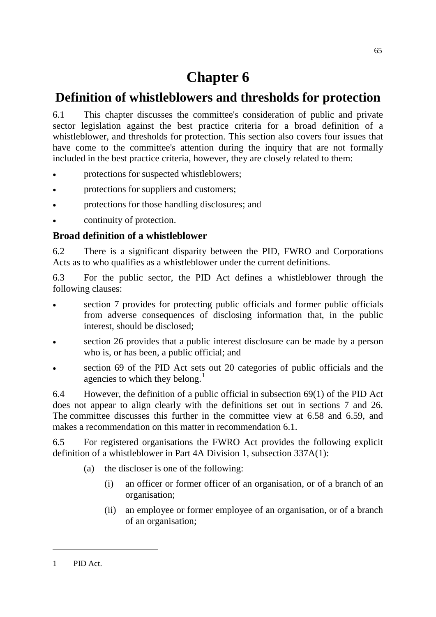# **Chapter 6**

## **Definition of whistleblowers and thresholds for protection**

6.1 This chapter discusses the committee's consideration of public and private sector legislation against the best practice criteria for a broad definition of a whistleblower, and thresholds for protection. This section also covers four issues that have come to the committee's attention during the inquiry that are not formally included in the best practice criteria, however, they are closely related to them:

- protections for suspected whistleblowers;
- protections for suppliers and customers;
- protections for those handling disclosures; and
- continuity of protection.

## **Broad definition of a whistleblower**

6.2 There is a significant disparity between the PID, FWRO and Corporations Acts as to who qualifies as a whistleblower under the current definitions.

6.3 For the public sector, the PID Act defines a whistleblower through the following clauses:

- section 7 provides for protecting public officials and former public officials from adverse consequences of disclosing information that, in the public interest, should be disclosed;
- section 26 provides that a public interest disclosure can be made by a person who is, or has been, a public official; and
- section 69 of the PID Act sets out 20 categories of public officials and the agencies to which they belong.<sup>[1](#page-0-0)</sup>

6.4 However, the definition of a public official in subsection 69(1) of the PID Act does not appear to align clearly with the definitions set out in sections 7 and 26. The committee discusses this further in the committee view at 6.58 and 6.59, and makes a recommendation on this matter in recommendation 6.1.

6.5 For registered organisations the FWRO Act provides the following explicit definition of a whistleblower in Part 4A Division 1, subsection 337A(1):

- (a) the discloser is one of the following:
	- (i) an officer or former officer of an organisation, or of a branch of an organisation;
	- (ii) an employee or former employee of an organisation, or of a branch of an organisation;

<span id="page-0-0"></span><sup>1</sup> PID Act.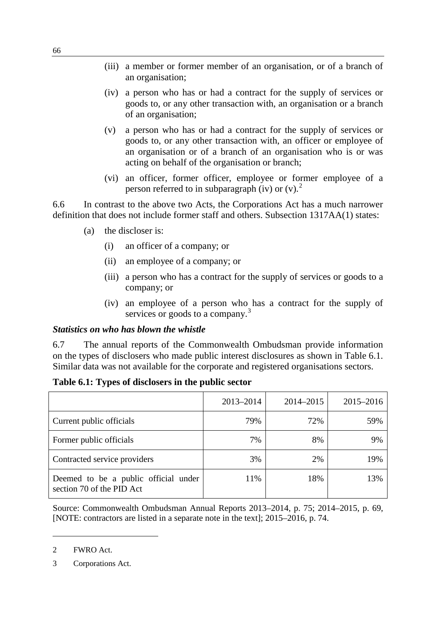- (iii) a member or former member of an organisation, or of a branch of an organisation;
- (iv) a person who has or had a contract for the supply of services or goods to, or any other transaction with, an organisation or a branch of an organisation;
- (v) a person who has or had a contract for the supply of services or goods to, or any other transaction with, an officer or employee of an organisation or of a branch of an organisation who is or was acting on behalf of the organisation or branch;
- (vi) an officer, former officer, employee or former employee of a person referred to in subparagraph (iv) or  $(v)$ .

6.6 In contrast to the above two Acts, the Corporations Act has a much narrower definition that does not include former staff and others. Subsection 1317AA(1) states:

- (a) the discloser is:
	- (i) an officer of a company; or
	- (ii) an employee of a company; or
	- (iii) a person who has a contract for the supply of services or goods to a company; or
	- (iv) an employee of a person who has a contract for the supply of services or goods to a company.<sup>[3](#page-1-1)</sup>

#### *Statistics on who has blown the whistle*

6.7 The annual reports of the Commonwealth Ombudsman provide information on the types of disclosers who made public interest disclosures as shown in Table 6.1. Similar data was not available for the corporate and registered organisations sectors.

|                                                                   | 2013-2014 | 2014-2015 | 2015-2016 |
|-------------------------------------------------------------------|-----------|-----------|-----------|
| Current public officials                                          | 79%       | 72%       | 59%       |
| Former public officials                                           | 7%        | 8%        | 9%        |
| Contracted service providers                                      | 3%        | 2%        | 19%       |
| Deemed to be a public official under<br>section 70 of the PID Act | 11%       | 18%       | 13%       |

**Table 6.1: Types of disclosers in the public sector**

Source: Commonwealth Ombudsman Annual Reports 2013–2014, p. 75; 2014–2015, p. 69, [NOTE: contractors are listed in a separate note in the text]; 2015–2016, p. 74.

<span id="page-1-0"></span><sup>2</sup> FWRO Act.

<span id="page-1-1"></span><sup>3</sup> Corporations Act.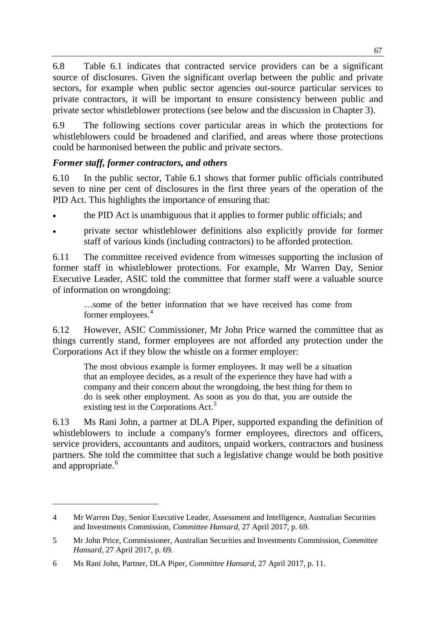6.8 Table 6.1 indicates that contracted service providers can be a significant source of disclosures. Given the significant overlap between the public and private sectors, for example when public sector agencies out-source particular services to private contractors, it will be important to ensure consistency between public and private sector whistleblower protections (see below and the discussion in Chapter 3).

6.9 The following sections cover particular areas in which the protections for whistleblowers could be broadened and clarified, and areas where those protections could be harmonised between the public and private sectors.

## *Former staff, former contractors, and others*

6.10 In the public sector, Table 6.1 shows that former public officials contributed seven to nine per cent of disclosures in the first three years of the operation of the PID Act. This highlights the importance of ensuring that:

- the PID Act is unambiguous that it applies to former public officials; and
- private sector whistleblower definitions also explicitly provide for former staff of various kinds (including contractors) to be afforded protection.

6.11 The committee received evidence from witnesses supporting the inclusion of former staff in whistleblower protections. For example, Mr Warren Day, Senior Executive Leader, ASIC told the committee that former staff were a valuable source of information on wrongdoing:

…some of the better information that we have received has come from former employees.<sup>[4](#page-2-0)</sup>

6.12 However, ASIC Commissioner, Mr John Price warned the committee that as things currently stand, former employees are not afforded any protection under the Corporations Act if they blow the whistle on a former employer:

The most obvious example is former employees. It may well be a situation that an employee decides, as a result of the experience they have had with a company and their concern about the wrongdoing, the best thing for them to do is seek other employment. As soon as you do that, you are outside the existing test in the Corporations Act.<sup>[5](#page-2-1)</sup>

6.13 Ms Rani John, a partner at DLA Piper, supported expanding the definition of whistleblowers to include a company's former employees, directors and officers, service providers, accountants and auditors, unpaid workers, contractors and business partners. She told the committee that such a legislative change would be both positive and appropriate.<sup>[6](#page-2-2)</sup>

<span id="page-2-0"></span><sup>4</sup> Mr Warren Day, Senior Executive Leader, Assessment and Intelligence, Australian Securities and Investments Commission, *Committee Hansard*, 27 April 2017, p. 69.

<span id="page-2-1"></span><sup>5</sup> Mr John Price, Commissioner, Australian Securities and Investments Commission, *Committee Hansard*, 27 April 2017, p. 69.

<span id="page-2-2"></span><sup>6</sup> Ms Rani John, Partner, DLA Piper, *Committee Hansard*, 27 April 2017, p. 11.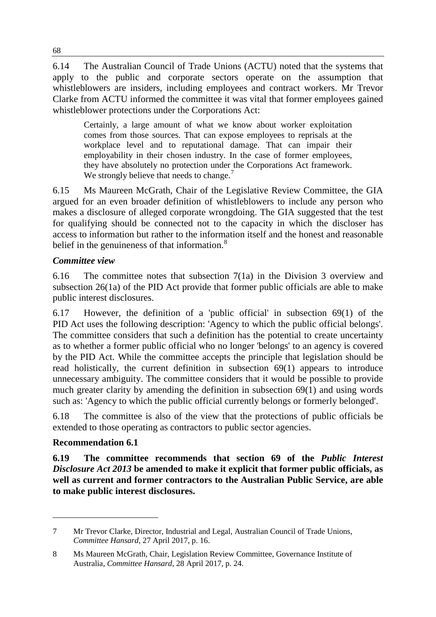6.14 The Australian Council of Trade Unions (ACTU) noted that the systems that apply to the public and corporate sectors operate on the assumption that whistleblowers are insiders, including employees and contract workers. Mr Trevor Clarke from ACTU informed the committee it was vital that former employees gained whistleblower protections under the Corporations Act:

Certainly, a large amount of what we know about worker exploitation comes from those sources. That can expose employees to reprisals at the workplace level and to reputational damage. That can impair their employability in their chosen industry. In the case of former employees, they have absolutely no protection under the Corporations Act framework. We strongly believe that needs to change.<sup>[7](#page-3-0)</sup>

6.15 Ms Maureen McGrath, Chair of the Legislative Review Committee, the GIA argued for an even broader definition of whistleblowers to include any person who makes a disclosure of alleged corporate wrongdoing. The GIA suggested that the test for qualifying should be connected not to the capacity in which the discloser has access to information but rather to the information itself and the honest and reasonable belief in the genuineness of that information.<sup>[8](#page-3-1)</sup>

## *Committee view*

6.16 The committee notes that subsection 7(1a) in the Division 3 overview and subsection 26(1a) of the PID Act provide that former public officials are able to make public interest disclosures.

6.17 However, the definition of a 'public official' in subsection 69(1) of the PID Act uses the following description: 'Agency to which the public official belongs'. The committee considers that such a definition has the potential to create uncertainty as to whether a former public official who no longer 'belongs' to an agency is covered by the PID Act. While the committee accepts the principle that legislation should be read holistically, the current definition in subsection 69(1) appears to introduce unnecessary ambiguity. The committee considers that it would be possible to provide much greater clarity by amending the definition in subsection 69(1) and using words such as: 'Agency to which the public official currently belongs or formerly belonged'.

6.18 The committee is also of the view that the protections of public officials be extended to those operating as contractors to public sector agencies.

## **Recommendation 6.1**

-

**6.19 The committee recommends that section 69 of the** *Public Interest Disclosure Act 2013* **be amended to make it explicit that former public officials, as well as current and former contractors to the Australian Public Service, are able to make public interest disclosures.**

<span id="page-3-0"></span><sup>7</sup> Mr Trevor Clarke, Director, Industrial and Legal, Australian Council of Trade Unions, *Committee Hansard*, 27 April 2017, p. 16.

<span id="page-3-1"></span><sup>8</sup> Ms Maureen McGrath, Chair, Legislation Review Committee, Governance Institute of Australia, *Committee Hansard*, 28 April 2017, p. 24.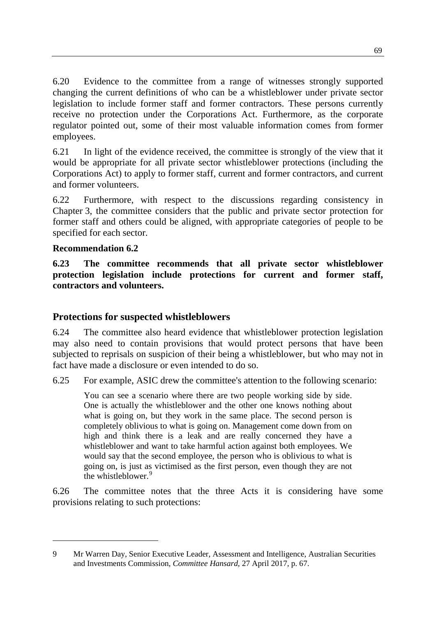6.20 Evidence to the committee from a range of witnesses strongly supported changing the current definitions of who can be a whistleblower under private sector legislation to include former staff and former contractors. These persons currently receive no protection under the Corporations Act. Furthermore, as the corporate regulator pointed out, some of their most valuable information comes from former employees.

6.21 In light of the evidence received, the committee is strongly of the view that it would be appropriate for all private sector whistleblower protections (including the Corporations Act) to apply to former staff, current and former contractors, and current and former volunteers.

6.22 Furthermore, with respect to the discussions regarding consistency in Chapter 3, the committee considers that the public and private sector protection for former staff and others could be aligned, with appropriate categories of people to be specified for each sector.

## **Recommendation 6.2**

-

**6.23 The committee recommends that all private sector whistleblower protection legislation include protections for current and former staff, contractors and volunteers.**

## **Protections for suspected whistleblowers**

6.24 The committee also heard evidence that whistleblower protection legislation may also need to contain provisions that would protect persons that have been subjected to reprisals on suspicion of their being a whistleblower, but who may not in fact have made a disclosure or even intended to do so.

6.25 For example, ASIC drew the committee's attention to the following scenario:

You can see a scenario where there are two people working side by side. One is actually the whistleblower and the other one knows nothing about what is going on, but they work in the same place. The second person is completely oblivious to what is going on. Management come down from on high and think there is a leak and are really concerned they have a whistleblower and want to take harmful action against both employees. We would say that the second employee, the person who is oblivious to what is going on, is just as victimised as the first person, even though they are not the whistleblower.<sup>[9](#page-4-0)</sup>

6.26 The committee notes that the three Acts it is considering have some provisions relating to such protections:

<span id="page-4-0"></span><sup>9</sup> Mr Warren Day, Senior Executive Leader, Assessment and Intelligence, Australian Securities and Investments Commission, *Committee Hansard*, 27 April 2017, p. 67.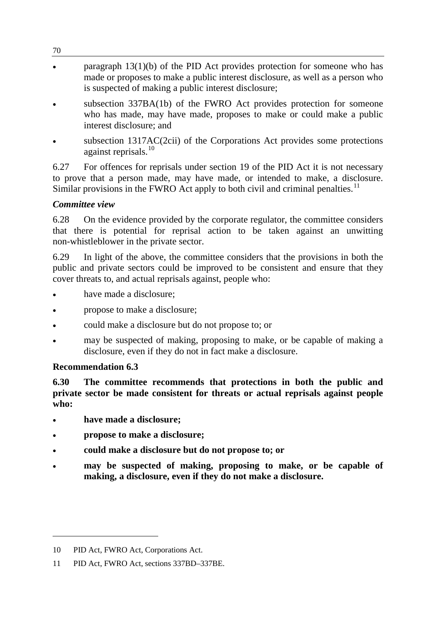- paragraph  $13(1)(b)$  of the PID Act provides protection for someone who has made or proposes to make a public interest disclosure, as well as a person who is suspected of making a public interest disclosure;
- subsection 337BA(1b) of the FWRO Act provides protection for someone who has made, may have made, proposes to make or could make a public interest disclosure; and
- subsection 1317AC(2cii) of the Corporations Act provides some protections against reprisals.<sup>[10](#page-5-0)</sup>

6.27 For offences for reprisals under section 19 of the PID Act it is not necessary to prove that a person made, may have made, or intended to make, a disclosure. Similar provisions in the FWRO Act apply to both civil and criminal penalties.<sup>[11](#page-5-1)</sup>

## *Committee view*

6.28 On the evidence provided by the corporate regulator, the committee considers that there is potential for reprisal action to be taken against an unwitting non-whistleblower in the private sector.

6.29 In light of the above, the committee considers that the provisions in both the public and private sectors could be improved to be consistent and ensure that they cover threats to, and actual reprisals against, people who:

- have made a disclosure:
- propose to make a disclosure;
- could make a disclosure but do not propose to; or
- may be suspected of making, proposing to make, or be capable of making a disclosure, even if they do not in fact make a disclosure.

### **Recommendation 6.3**

**6.30 The committee recommends that protections in both the public and private sector be made consistent for threats or actual reprisals against people who:**

- **have made a disclosure;**
- **propose to make a disclosure;**
- **could make a disclosure but do not propose to; or**
- **may be suspected of making, proposing to make, or be capable of making, a disclosure, even if they do not make a disclosure.**

<span id="page-5-0"></span><sup>10</sup> PID Act, FWRO Act, Corporations Act.

<span id="page-5-1"></span><sup>11</sup> PID Act, FWRO Act, sections 337BD–337BE.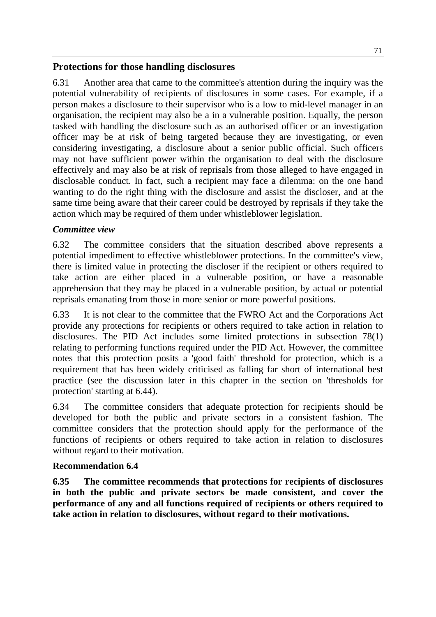## **Protections for those handling disclosures**

6.31 Another area that came to the committee's attention during the inquiry was the potential vulnerability of recipients of disclosures in some cases. For example, if a person makes a disclosure to their supervisor who is a low to mid-level manager in an organisation, the recipient may also be a in a vulnerable position. Equally, the person tasked with handling the disclosure such as an authorised officer or an investigation officer may be at risk of being targeted because they are investigating, or even considering investigating, a disclosure about a senior public official. Such officers may not have sufficient power within the organisation to deal with the disclosure effectively and may also be at risk of reprisals from those alleged to have engaged in disclosable conduct. In fact, such a recipient may face a dilemma: on the one hand wanting to do the right thing with the disclosure and assist the discloser, and at the same time being aware that their career could be destroyed by reprisals if they take the action which may be required of them under whistleblower legislation.

## *Committee view*

6.32 The committee considers that the situation described above represents a potential impediment to effective whistleblower protections. In the committee's view, there is limited value in protecting the discloser if the recipient or others required to take action are either placed in a vulnerable position, or have a reasonable apprehension that they may be placed in a vulnerable position, by actual or potential reprisals emanating from those in more senior or more powerful positions.

6.33 It is not clear to the committee that the FWRO Act and the Corporations Act provide any protections for recipients or others required to take action in relation to disclosures. The PID Act includes some limited protections in subsection 78(1) relating to performing functions required under the PID Act. However, the committee notes that this protection posits a 'good faith' threshold for protection, which is a requirement that has been widely criticised as falling far short of international best practice (see the discussion later in this chapter in the section on 'thresholds for protection' starting at 6.44).

6.34 The committee considers that adequate protection for recipients should be developed for both the public and private sectors in a consistent fashion. The committee considers that the protection should apply for the performance of the functions of recipients or others required to take action in relation to disclosures without regard to their motivation.

### **Recommendation 6.4**

**6.35 The committee recommends that protections for recipients of disclosures in both the public and private sectors be made consistent, and cover the performance of any and all functions required of recipients or others required to take action in relation to disclosures, without regard to their motivations.**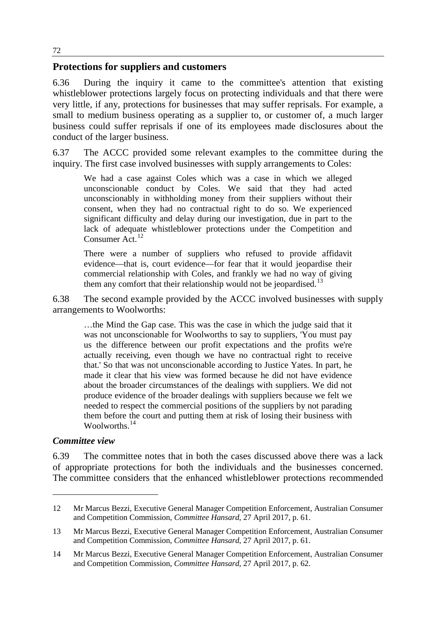### **Protections for suppliers and customers**

6.36 During the inquiry it came to the committee's attention that existing whistleblower protections largely focus on protecting individuals and that there were very little, if any, protections for businesses that may suffer reprisals. For example, a small to medium business operating as a supplier to, or customer of, a much larger business could suffer reprisals if one of its employees made disclosures about the conduct of the larger business.

6.37 The ACCC provided some relevant examples to the committee during the inquiry. The first case involved businesses with supply arrangements to Coles:

We had a case against Coles which was a case in which we alleged unconscionable conduct by Coles. We said that they had acted unconscionably in withholding money from their suppliers without their consent, when they had no contractual right to do so. We experienced significant difficulty and delay during our investigation, due in part to the lack of adequate whistleblower protections under the Competition and Consumer  $Act^{\frac{1}{12}}$  $Act^{\frac{1}{12}}$  $Act^{\frac{1}{12}}$ 

There were a number of suppliers who refused to provide affidavit evidence—that is, court evidence—for fear that it would jeopardise their commercial relationship with Coles, and frankly we had no way of giving them any comfort that their relationship would not be jeopardised.<sup>[13](#page-7-1)</sup>

6.38 The second example provided by the ACCC involved businesses with supply arrangements to Woolworths:

…the Mind the Gap case. This was the case in which the judge said that it was not unconscionable for Woolworths to say to suppliers, 'You must pay us the difference between our profit expectations and the profits we're actually receiving, even though we have no contractual right to receive that.' So that was not unconscionable according to Justice Yates. In part, he made it clear that his view was formed because he did not have evidence about the broader circumstances of the dealings with suppliers. We did not produce evidence of the broader dealings with suppliers because we felt we needed to respect the commercial positions of the suppliers by not parading them before the court and putting them at risk of losing their business with Woolworths<sup>[14](#page-7-2)</sup>

#### *Committee view*

-

6.39 The committee notes that in both the cases discussed above there was a lack of appropriate protections for both the individuals and the businesses concerned. The committee considers that the enhanced whistleblower protections recommended

<span id="page-7-0"></span><sup>12</sup> Mr Marcus Bezzi, Executive General Manager Competition Enforcement, Australian Consumer and Competition Commission, *Committee Hansard*, 27 April 2017, p. 61.

<span id="page-7-1"></span><sup>13</sup> Mr Marcus Bezzi, Executive General Manager Competition Enforcement, Australian Consumer and Competition Commission, *Committee Hansard*, 27 April 2017, p. 61.

<span id="page-7-2"></span><sup>14</sup> Mr Marcus Bezzi, Executive General Manager Competition Enforcement, Australian Consumer and Competition Commission, *Committee Hansard*, 27 April 2017, p. 62.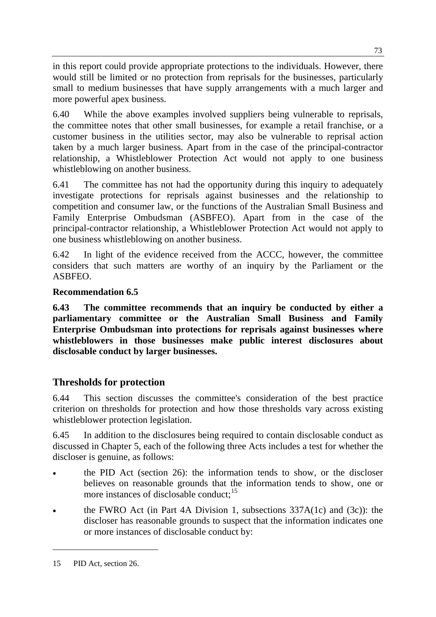in this report could provide appropriate protections to the individuals. However, there would still be limited or no protection from reprisals for the businesses, particularly small to medium businesses that have supply arrangements with a much larger and more powerful apex business.

6.40 While the above examples involved suppliers being vulnerable to reprisals, the committee notes that other small businesses, for example a retail franchise, or a customer business in the utilities sector, may also be vulnerable to reprisal action taken by a much larger business. Apart from in the case of the principal-contractor relationship, a Whistleblower Protection Act would not apply to one business whistleblowing on another business.

6.41 The committee has not had the opportunity during this inquiry to adequately investigate protections for reprisals against businesses and the relationship to competition and consumer law, or the functions of the Australian Small Business and Family Enterprise Ombudsman (ASBFEO). Apart from in the case of the principal-contractor relationship, a Whistleblower Protection Act would not apply to one business whistleblowing on another business.

6.42 In light of the evidence received from the ACCC, however, the committee considers that such matters are worthy of an inquiry by the Parliament or the ASBFEO.

## **Recommendation 6.5**

**6.43 The committee recommends that an inquiry be conducted by either a parliamentary committee or the Australian Small Business and Family Enterprise Ombudsman into protections for reprisals against businesses where whistleblowers in those businesses make public interest disclosures about disclosable conduct by larger businesses.**

## **Thresholds for protection**

6.44 This section discusses the committee's consideration of the best practice criterion on thresholds for protection and how those thresholds vary across existing whistleblower protection legislation.

6.45 In addition to the disclosures being required to contain disclosable conduct as discussed in Chapter 5, each of the following three Acts includes a test for whether the discloser is genuine, as follows:

- the PID Act (section 26): the information tends to show, or the discloser believes on reasonable grounds that the information tends to show, one or more instances of disclosable conduct;<sup>[15](#page-8-0)</sup>
- the FWRO Act (in Part 4A Division 1, subsections  $337A(1c)$  and  $(3c)$ ): the discloser has reasonable grounds to suspect that the information indicates one or more instances of disclosable conduct by:

<span id="page-8-0"></span><sup>15</sup> PID Act, section 26.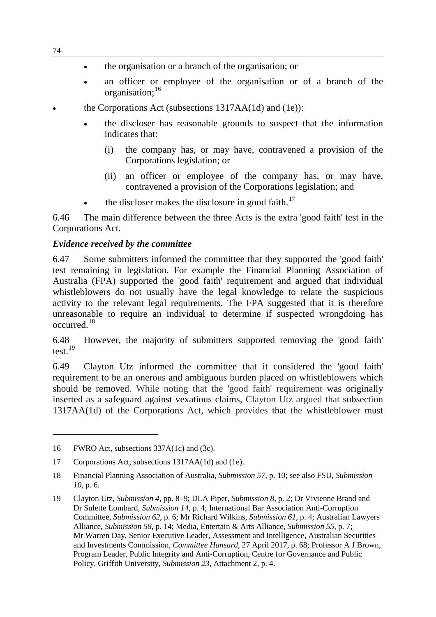- the organisation or a branch of the organisation; or
- an officer or employee of the organisation or of a branch of the organisation;<sup>[16](#page-9-0)</sup>
- the Corporations Act (subsections 1317AA(1d) and (1e)):
	- the discloser has reasonable grounds to suspect that the information indicates that:
		- (i) the company has, or may have, contravened a provision of the Corporations legislation; or
		- (ii) an officer or employee of the company has, or may have, contravened a provision of the Corporations legislation; and
	- the discloser makes the disclosure in good faith.<sup>[17](#page-9-1)</sup>

6.46 The main difference between the three Acts is the extra 'good faith' test in the Corporations Act.

#### *Evidence received by the committee*

6.47 Some submitters informed the committee that they supported the 'good faith' test remaining in legislation. For example the Financial Planning Association of Australia (FPA) supported the 'good faith' requirement and argued that individual whistleblowers do not usually have the legal knowledge to relate the suspicious activity to the relevant legal requirements. The FPA suggested that it is therefore unreasonable to require an individual to determine if suspected wrongdoing has occurred. [18](#page-9-2)

6.48 However, the majority of submitters supported removing the 'good faith' test.<sup>[19](#page-9-3)</sup>

6.49 Clayton Utz informed the committee that it considered the 'good faith' requirement to be an onerous and ambiguous burden placed on whistleblowers which should be removed. While noting that the 'good faith' requirement was originally inserted as a safeguard against vexatious claims, Clayton Utz argued that subsection 1317AA(1d) of the Corporations Act, which provides that the whistleblower must

<span id="page-9-0"></span><sup>16</sup> FWRO Act, subsections 337A(1c) and (3c).

<span id="page-9-1"></span><sup>17</sup> Corporations Act, subsections 1317AA(1d) and (1e).

<span id="page-9-2"></span><sup>18</sup> Financial Planning Association of Australia, *Submission 57*, p. 10; see also FSU, *Submission 10*, p. 6.

<span id="page-9-3"></span><sup>19</sup> Clayton Utz, *Submission 4*, pp. 8–9; DLA Piper, *Submission 8*, p. 2; Dr Vivienne Brand and Dr Sulette Lombard, *Submission 14*, p. 4; International Bar Association Anti-Corruption Committee, *Submission 62*, p. 6; Mr Richard Wilkins, *Submission 61*, p. 4; Australian Lawyers Alliance, *Submission 58*, p. 14; Media, Entertain & Arts Alliance, *Submission 55*, p. 7; Mr Warren Day, Senior Executive Leader, Assessment and Intelligence, Australian Securities and Investments Commission, *Committee Hansard*, 27 April 2017, p. 68; Professor A J Brown, Program Leader, Public Integrity and Anti-Corruption, Centre for Governance and Public Policy, Griffith University, *Submission 23*, Attachment 2, p. 4.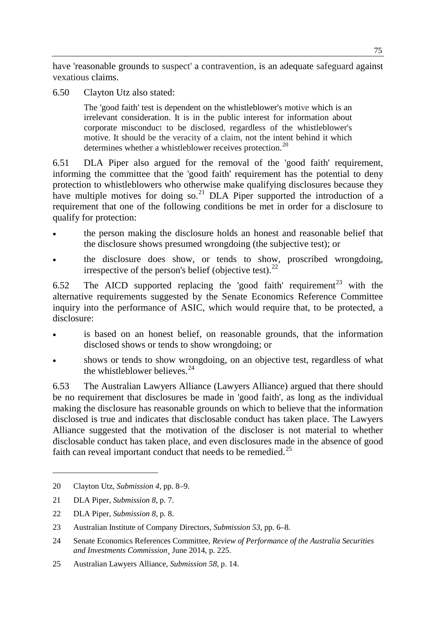have 'reasonable grounds to suspect' a contravention, is an adequate safeguard against vexatious claims.

6.50 Clayton Utz also stated:

The 'good faith' test is dependent on the whistleblower's motive which is an irrelevant consideration. It is in the public interest for information about corporate misconduct to be disclosed, regardless of the whistleblower's motive. It should be the veracity of a claim, not the intent behind it which determines whether a whistleblower receives protection.<sup>[20](#page-10-0)</sup>

6.51 DLA Piper also argued for the removal of the 'good faith' requirement, informing the committee that the 'good faith' requirement has the potential to deny protection to whistleblowers who otherwise make qualifying disclosures because they have multiple motives for doing so.<sup>[21](#page-10-1)</sup> DLA Piper supported the introduction of a requirement that one of the following conditions be met in order for a disclosure to qualify for protection:

- the person making the disclosure holds an honest and reasonable belief that the disclosure shows presumed wrongdoing (the subjective test); or
- the disclosure does show, or tends to show, proscribed wrongdoing, irrespective of the person's belief (objective test).  $^{22}$  $^{22}$  $^{22}$

6.52 The AICD supported replacing the 'good faith' requirement<sup>[23](#page-10-3)</sup> with the alternative requirements suggested by the Senate Economics Reference Committee inquiry into the performance of ASIC, which would require that, to be protected, a disclosure:

- is based on an honest belief, on reasonable grounds, that the information disclosed shows or tends to show wrongdoing; or
- shows or tends to show wrongdoing, on an objective test, regardless of what the whistleblower believes. $^{24}$  $^{24}$  $^{24}$

6.53 The Australian Lawyers Alliance (Lawyers Alliance) argued that there should be no requirement that disclosures be made in 'good faith', as long as the individual making the disclosure has reasonable grounds on which to believe that the information disclosed is true and indicates that disclosable conduct has taken place. The Lawyers Alliance suggested that the motivation of the discloser is not material to whether disclosable conduct has taken place, and even disclosures made in the absence of good faith can reveal important conduct that needs to be remedied.<sup>[25](#page-10-5)</sup>

<span id="page-10-0"></span><sup>20</sup> Clayton Utz, *Submission 4*, pp. 8–9.

<span id="page-10-1"></span><sup>21</sup> DLA Piper, *Submission 8*, p. 7.

<span id="page-10-2"></span><sup>22</sup> DLA Piper, *Submission 8*, p. 8.

<span id="page-10-3"></span><sup>23</sup> Australian Institute of Company Directors, *Submission 53*, pp. 6–8.

<span id="page-10-4"></span><sup>24</sup> Senate Economics References Committee, *Review of Performance of the Australia Securities and Investments Commission¸* June 2014, p. 225.

<span id="page-10-5"></span><sup>25</sup> Australian Lawyers Alliance, *Submission 58*, p. 14.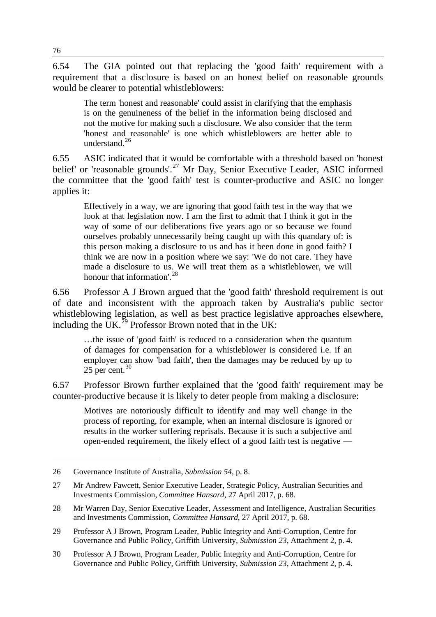6.54 The GIA pointed out that replacing the 'good faith' requirement with a requirement that a disclosure is based on an honest belief on reasonable grounds would be clearer to potential whistleblowers:

The term 'honest and reasonable' could assist in clarifying that the emphasis is on the genuineness of the belief in the information being disclosed and not the motive for making such a disclosure. We also consider that the term 'honest and reasonable' is one which whistleblowers are better able to understand.<sup>[26](#page-11-0)</sup>

6.55 ASIC indicated that it would be comfortable with a threshold based on 'honest belief' or 'reasonable grounds'.<sup>[27](#page-11-1)</sup> Mr Day, Senior Executive Leader, ASIC informed the committee that the 'good faith' test is counter-productive and ASIC no longer applies it:

Effectively in a way, we are ignoring that good faith test in the way that we look at that legislation now. I am the first to admit that I think it got in the way of some of our deliberations five years ago or so because we found ourselves probably unnecessarily being caught up with this quandary of: is this person making a disclosure to us and has it been done in good faith? I think we are now in a position where we say: 'We do not care. They have made a disclosure to us. We will treat them as a whistleblower, we will honour that information'.<sup>[28](#page-11-2)</sup>

6.56 Professor A J Brown argued that the 'good faith' threshold requirement is out of date and inconsistent with the approach taken by Australia's public sector whistleblowing legislation, as well as best practice legislative approaches elsewhere, including the UK.<sup>[29](#page-11-3)</sup> Professor Brown noted that in the UK:

…the issue of 'good faith' is reduced to a consideration when the quantum of damages for compensation for a whistleblower is considered i.e. if an employer can show 'bad faith', then the damages may be reduced by up to  $25$  per cent.<sup>[30](#page-11-4)</sup>

6.57 Professor Brown further explained that the 'good faith' requirement may be counter-productive because it is likely to deter people from making a disclosure:

Motives are notoriously difficult to identify and may well change in the process of reporting, for example, when an internal disclosure is ignored or results in the worker suffering reprisals. Because it is such a subjective and open-ended requirement, the likely effect of a good faith test is negative —

<span id="page-11-0"></span><sup>26</sup> Governance Institute of Australia, *Submission 54*, p. 8.

<span id="page-11-1"></span><sup>27</sup> Mr Andrew Fawcett, Senior Executive Leader, Strategic Policy, Australian Securities and Investments Commission, *Committee Hansard*, 27 April 2017, p. 68.

<span id="page-11-2"></span><sup>28</sup> Mr Warren Day, Senior Executive Leader, Assessment and Intelligence, Australian Securities and Investments Commission, *Committee Hansard*, 27 April 2017, p. 68.

<span id="page-11-3"></span><sup>29</sup> Professor A J Brown, Program Leader, Public Integrity and Anti-Corruption, Centre for Governance and Public Policy, Griffith University, *Submission 23*, Attachment 2, p. 4.

<span id="page-11-4"></span><sup>30</sup> Professor A J Brown, Program Leader, Public Integrity and Anti-Corruption, Centre for Governance and Public Policy, Griffith University, *Submission 23*, Attachment 2, p. 4.